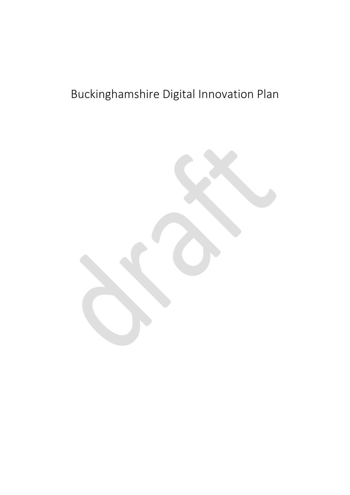# Buckinghamshire Digital Innovation Plan

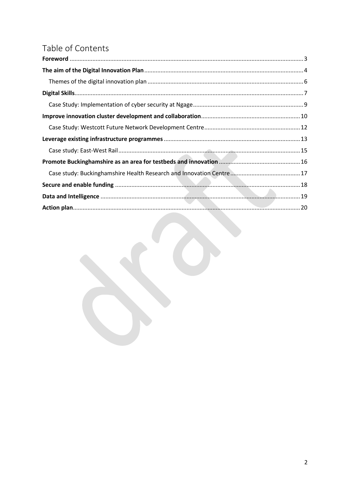## Table of Contents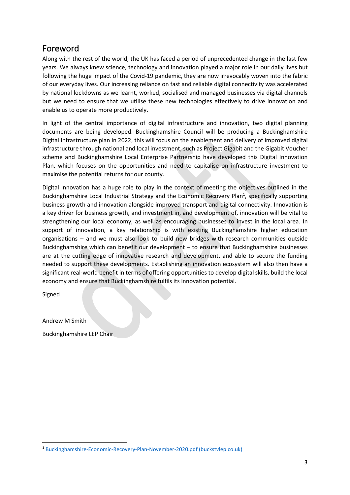### <span id="page-2-0"></span>Foreword

Along with the rest of the world, the UK has faced a period of unprecedented change in the last few years. We always knew science, technology and innovation played a major role in our daily lives but following the huge impact of the Covid-19 pandemic, they are now irrevocably woven into the fabric of our everyday lives. Our increasing reliance on fast and reliable digital connectivity was accelerated by national lockdowns as we learnt, worked, socialised and managed businesses via digital channels but we need to ensure that we utilise these new technologies effectively to drive innovation and enable us to operate more productively.

In light of the central importance of digital infrastructure and innovation, two digital planning documents are being developed. Buckinghamshire Council will be producing a Buckinghamshire Digital Infrastructure plan in 2022, this will focus on the enablement and delivery of improved digital infrastructure through national and local investment, such as Project Gigabit and the Gigabit Voucher scheme and Buckinghamshire Local Enterprise Partnership have developed this Digital Innovation Plan, which focuses on the opportunities and need to capitalise on infrastructure investment to maximise the potential returns for our county.

Digital innovation has a huge role to play in the context of meeting the objectives outlined in the Buckinghamshire Local Industrial Strategy and the Economic Recovery Plan<sup>1</sup>, specifically supporting business growth and innovation alongside improved transport and digital connectivity. Innovation is a key driver for business growth, and investment in, and development of, innovation will be vital to strengthening our local economy, as well as encouraging businesses to invest in the local area. In support of innovation, a key relationship is with existing Buckinghamshire higher education organisations – and we must also look to build new bridges with research communities outside Buckinghamshire which can benefit our development – to ensure that Buckinghamshire businesses are at the cutting edge of innovative research and development, and able to secure the funding needed to support these developments. Establishing an innovation ecosystem will also then have a significant real-world benefit in terms of offering opportunities to develop digital skills, build the local economy and ensure that Buckinghamshire fulfils its innovation potential.

Signed

Andrew M Smith

Buckinghamshire LEP Chair

<sup>1</sup> [Buckinghamshire-Economic-Recovery-Plan-November-2020.pdf \(buckstvlep.co.uk\)](https://www.buckstvlep.co.uk/wp-content/uploads/2020/11/Buckinghamshire-Economic-Recovery-Plan-November-2020.pdf)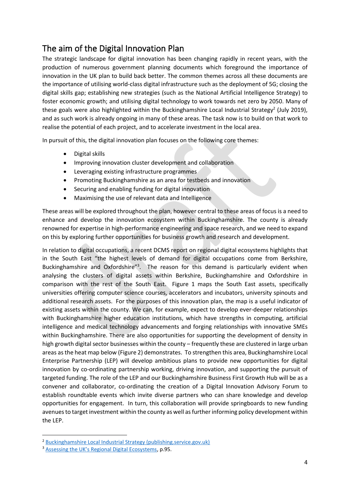### <span id="page-3-0"></span>The aim of the Digital Innovation Plan

The strategic landscape for digital innovation has been changing rapidly in recent years, with the production of numerous government planning documents which foreground the importance of innovation in the UK plan to build back better. The common themes across all these documents are the importance of utilising world-class digital infrastructure such as the deployment of 5G; closing the digital skills gap; establishing new strategies (such as the National Artificial Intelligence Strategy) to foster economic growth; and utilising digital technology to work towards net zero by 2050. Many of these goals were also highlighted within the Buckinghamshire Local Industrial Strategy<sup>2</sup> (July 2019), and as such work is already ongoing in many of these areas. The task now is to build on that work to realise the potential of each project, and to accelerate investment in the local area.

In pursuit of this, the digital innovation plan focuses on the following core themes:

- Digital skills
- Improving innovation cluster development and collaboration
- Leveraging existing infrastructure programmes
- Promoting Buckinghamshire as an area for testbeds and innovation
- Securing and enabling funding for digital innovation
- Maximising the use of relevant data and Intelligence

These areas will be explored throughout the plan, however central to these areas of focus is a need to enhance and develop the innovation ecosystem within Buckinghamshire. The county is already renowned for expertise in high-performance engineering and space research, and we need to expand on this by exploring further opportunities for business growth and research and development.

In relation to digital occupations, a recent DCMS report on regional digital ecosystems highlights that in the South East "the highest levels of demand for digital occupations come from Berkshire, Buckinghamshire and Oxfordshire<sup>"3</sup>. The reason for this demand is particularly evident when analysing the clusters of digital assets within Berkshire, Buckinghamshire and Oxfordshire in comparison with the rest of the South East. Figure 1 maps the South East assets, specifically universities offering computer science courses, accelerators and incubators, university spinouts and additional research assets. For the purposes of this innovation plan, the map is a useful indicator of existing assets within the county. We can, for example, expect to develop ever-deeper relationships with Buckinghamshire higher education institutions, which have strengths in computing, artificial intelligence and medical technology advancements and forging relationships with innovative SMEs within Buckinghamshire. There are also opportunities for supporting the development of density in high growth digital sector businesses within the county – frequently these are clustered in large urban areas as the heat map below (Figure 2) demonstrates. To strengthen this area, Buckinghamshire Local Enterprise Partnership (LEP) will develop ambitious plans to provide new opportunities for digital innovation by co-ordinating partnership working, driving innovation, and supporting the pursuit of targeted funding. The role of the LEP and our Buckinghamshire Business First Growth Hub will be as a convener and collaborator, co-ordinating the creation of a Digital Innovation Advisory Forum to establish roundtable events which invite diverse partners who can share knowledge and develop opportunities for engagement. In turn, this collaboration will provide springboards to new funding avenuesto target investment within the county as well as further informing policy development within the LEP.

<sup>2</sup> [Buckinghamshire Local Industrial Strategy \(publishing.service.gov.uk\)](https://assets.publishing.service.gov.uk/government/uploads/system/uploads/attachment_data/file/818874/Buckinghamshire_SINGLE_PAGE.pdf)

<sup>3</sup> [Assessing the UK's Regional Digital Ecosystems](https://assets.publishing.service.gov.uk/government/uploads/system/uploads/attachment_data/file/1020407/Digital_Regional_Ecosystems_report_v9.1.pdf), p.95.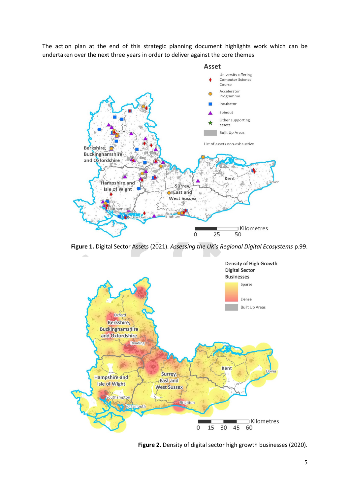The action plan at the end of this strategic planning document highlights work which can be undertaken over the next three years in order to deliver against the core themes.



**Figure 1.** Digital Sector Assets (2021). *Assessing the UK's Regional Digital Ecosystems* p.99.



**Figure 2.** Density of digital sector high growth businesses (2020).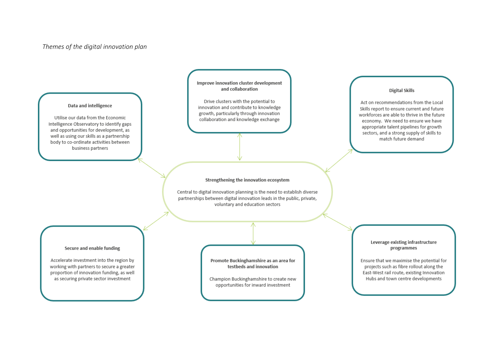#### *Themes of the digital innovation plan*

<span id="page-5-0"></span>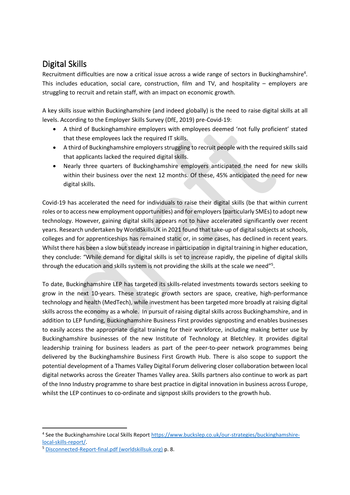### <span id="page-6-0"></span>Digital Skills

Recruitment difficulties are now a critical issue across a wide range of sectors in Buckinghamshire<sup>4</sup>. This includes education, social care, construction, film and TV, and hospitality – employers are struggling to recruit and retain staff, with an impact on economic growth.

A key skills issue within Buckinghamshire (and indeed globally) is the need to raise digital skills at all levels. According to the Employer Skills Survey (DfE, 2019) pre-Covid-19:

- A third of Buckinghamshire employers with employees deemed 'not fully proficient' stated that these employees lack the required IT skills.
- A third of Buckinghamshire employers struggling to recruit people with the required skills said that applicants lacked the required digital skills.
- Nearly three quarters of Buckinghamshire employers anticipated the need for new skills within their business over the next 12 months. Of these, 45% anticipated the need for new digital skills.

Covid-19 has accelerated the need for individuals to raise their digital skills (be that within current roles or to access new employment opportunities) and for employers (particularly SMEs) to adopt new technology. However, gaining digital skills appears not to have accelerated significantly over recent years. Research undertaken by WorldSkillsUK in 2021 found that take-up of digital subjects at schools, colleges and for apprenticeships has remained static or, in some cases, has declined in recent years. Whilst there has been a slow but steady increase in participation in digital training in higher education, they conclude: "While demand for digital skills is set to increase rapidly, the pipeline of digital skills through the education and skills system is not providing the skills at the scale we need"<sup>5</sup>.

To date, Buckinghamshire LEP has targeted its skills-related investments towards sectors seeking to grow in the next 10-years. These strategic growth sectors are space, creative, high-performance technology and health (MedTech), while investment has been targeted more broadly at raising digital skills across the economy as a whole. In pursuit of raising digital skills across Buckinghamshire, and in addition to LEP funding, Buckinghamshire Business First provides signposting and enables businesses to easily access the appropriate digital training for their workforce, including making better use by Buckinghamshire businesses of the new Institute of Technology at Bletchley. It provides digital leadership training for business leaders as part of the peer-to-peer network programmes being delivered by the Buckinghamshire Business First Growth Hub. There is also scope to support the potential development of a Thames Valley Digital Forum delivering closer collaboration between local digital networks across the Greater Thames Valley area. Skills partners also continue to work as part of the Inno Industry programme to share best practice in digital innovation in business across Europe, whilst the LEP continues to co-ordinate and signpost skills providers to the growth hub.

<sup>&</sup>lt;sup>4</sup> See the Buckinghamshire Local Skills Report [https://www.buckslep.co.uk/our-strategies/buckinghamshire](https://www.buckslep.co.uk/our-strategies/buckinghamshire-local-skills-report/)[local-skills-report/.](https://www.buckslep.co.uk/our-strategies/buckinghamshire-local-skills-report/)

<sup>5</sup> [Disconnected-Report-final.pdf \(worldskillsuk.org\)](https://www.worldskillsuk.org/wp-content/uploads/2021/03/Disconnected-Report-final.pdf) p. 8.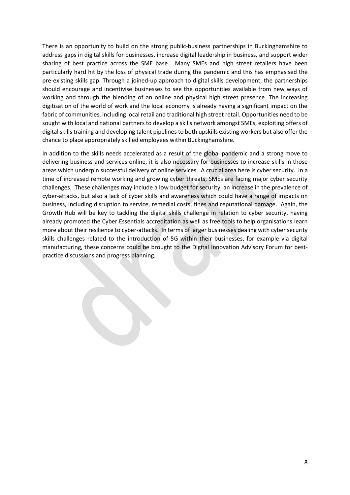There is an opportunity to build on the strong public-business partnerships in Buckinghamshire to address gaps in digital skills for businesses, increase digital leadership in business, and support wider sharing of best practice across the SME base. Many SMEs and high street retailers have been particularly hard hit by the loss of physical trade during the pandemic and this has emphasised the pre-existing skills gap. Through a joined-up approach to digital skills development, the partnerships should encourage and incentivise businesses to see the opportunities available from new ways of working and through the blending of an online and physical high street presence. The increasing digitisation of the world of work and the local economy is already having a significant impact on the fabric of communities, including local retail and traditional high street retail. Opportunities need to be sought with local and national partners to develop a skills network amongst SMEs, exploiting offers of digital skills training and developing talent pipelines to both upskills existing workers but also offer the chance to place appropriately skilled employees within Buckinghamshire.

In addition to the skills needs accelerated as a result of the global pandemic and a strong move to delivering business and services online, it is also necessary for businesses to increase skills in those areas which underpin successful delivery of online services. A crucial area here is cyber security. In a time of increased remote working and growing cyber threats, SMEs are facing major cyber security challenges. These challenges may include a low budget for security, an increase in the prevalence of cyber-attacks, but also a lack of cyber skills and awareness which could have a range of impacts on business, including disruption to service, remedial costs, fines and reputational damage. Again, the Growth Hub will be key to tackling the digital skills challenge in relation to cyber security, having already promoted the Cyber Essentials accreditation as well as free tools to help organisations learn more about their resilience to cyber-attacks. In terms of larger businesses dealing with cyber security skills challenges related to the introduction of 5G within their businesses, for example via digital manufacturing, these concerns could be brought to the Digital Innovation Advisory Forum for bestpractice discussions and progress planning.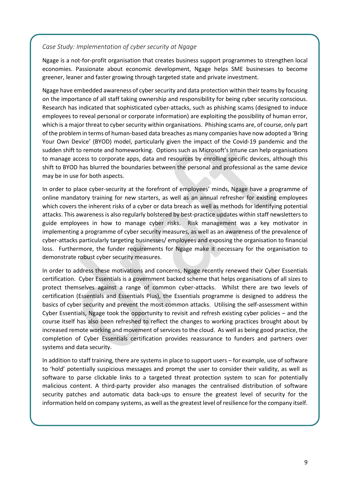#### <span id="page-8-0"></span>*Case Study: Implementation of cyber security at Ngage*

Ngage is a not-for-profit organisation that creates business support programmes to strengthen local economies. Passionate about economic development, Ngage helps SME businesses to become greener, leaner and faster growing through targeted state and private investment.

Ngage have embedded awareness of cyber security and data protection within their teams by focusing on the importance of all staff taking ownership and responsibility for being cyber security conscious. Research has indicated that sophisticated cyber-attacks, such as phishing scams (designed to induce employees to reveal personal or corporate information) are exploiting the possibility of human error, which is a major threat to cyber security within organisations. Phishing scams are, of course, only part of the problem in terms of human-based data breaches as many companies have now adopted a 'Bring Your Own Device' (BYOD) model, particularly given the impact of the Covid-19 pandemic and the sudden shift to remote and homeworking. Options such as Microsoft's Intune can help organisations to manage access to corporate apps, data and resources by enrolling specific devices, although this shift to BYOD has blurred the boundaries between the personal and professional as the same device may be in use for both aspects.

In order to place cyber-security at the forefront of employees' minds, Ngage have a programme of online mandatory training for new starters, as well as an annual refresher for existing employees which covers the inherent risks of a cyber or data breach as well as methods for identifying potential attacks. This awareness is also regularly bolstered by best-practice updates within staff newsletters to guide employees in how to manage cyber risks. Risk management was a key motivator in implementing a programme of cyber security measures, as well as an awareness of the prevalence of cyber-attacks particularly targeting businesses/ employees and exposing the organisation to financial loss. Furthermore, the funder requirements for Ngage make it necessary for the organisation to demonstrate robust cyber security measures.

In order to address these motivations and concerns, Ngage recently renewed their Cyber Essentials certification. Cyber Essentials is a government backed scheme that helps organisations of all sizes to protect themselves against a range of common cyber-attacks. Whilst there are two levels of certification (Essentials and Essentials Plus), the Essentials programme is designed to address the basics of cyber security and prevent the most common attacks. Utilising the self-assessment within Cyber Essentials, Ngage took the opportunity to revisit and refresh existing cyber policies – and the course itself has also been refreshed to reflect the changes to working practices brought about by increased remote working and movement of services to the cloud. As well as being good practice, the completion of Cyber Essentials certification provides reassurance to funders and partners over systems and data security.

In addition to staff training, there are systems in place to support users – for example, use of software to 'hold' potentially suspicious messages and prompt the user to consider their validity, as well as software to parse clickable links to a targeted threat protection system to scan for potentially malicious content. A third-party provider also manages the centralised distribution of software security patches and automatic data back-ups to ensure the greatest level of security for the information held on company systems, as well as the greatest level of resilience for the company itself.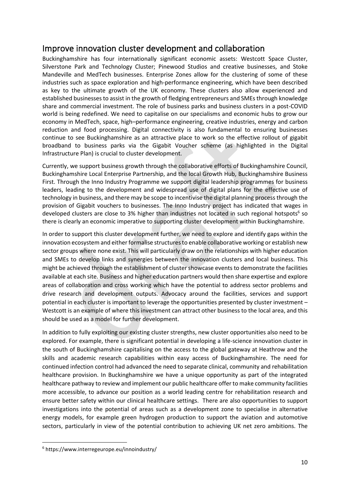### <span id="page-9-0"></span>Improve innovation cluster development and collaboration

Buckinghamshire has four internationally significant economic assets: Westcott Space Cluster, Silverstone Park and Technology Cluster; Pinewood Studios and creative businesses, and Stoke Mandeville and MedTech businesses. Enterprise Zones allow for the clustering of some of these industries such as space exploration and high-performance engineering, which have been described as key to the ultimate growth of the UK economy. These clusters also allow experienced and established businesses to assist in the growth of fledging entrepreneurs and SMEs through knowledge share and commercial investment. The role of business parks and business clusters in a post-COVID world is being redefined. We need to capitalise on our specialisms and economic hubs to grow our economy in MedTech, space, high–performance engineering, creative industries, energy and carbon reduction and food processing. Digital connectivity is also fundamental to ensuring businesses continue to see Buckinghamshire as an attractive place to work so the effective rollout of gigabit broadband to business parks via the Gigabit Voucher scheme (as highlighted in the Digital Infrastructure Plan) is crucial to cluster development.

Currently, we support business growth through the collaborative efforts of Buckinghamshire Council, Buckinghamshire Local Enterprise Partnership, and the local Growth Hub, Buckinghamshire Business First. Through the Inno Industry Programme we support digital leadership programmes for business leaders, leading to the development and widespread use of digital plans for the effective use of technology in business, and there may be scope to incentivise the digital planning process through the provision of Gigabit vouchers to businesses. The Inno Industry project has indicated that wages in developed clusters are close to 3% higher than industries not located in such regional hotspots<sup>6</sup> so there is clearly an economic imperative to supporting cluster development within Buckinghamshire.

In order to support this cluster development further, we need to explore and identify gaps within the innovation ecosystem and either formalise structures to enable collaborative working or establish new sector groups where none exist. This will particularly draw on the relationships with higher education and SMEs to develop links and synergies between the innovation clusters and local business. This might be achieved through the establishment of cluster showcase events to demonstrate the facilities available at each site. Business and higher education partners would then share expertise and explore areas of collaboration and cross working which have the potential to address sector problems and drive research and development outputs. Advocacy around the facilities, services and support potential in each cluster is important to leverage the opportunities presented by cluster investment – Westcott is an example of where this investment can attract other business to the local area, and this should be used as a model for further development.

In addition to fully exploiting our existing cluster strengths, new cluster opportunities also need to be explored. For example, there is significant potential in developing a life-science innovation cluster in the south of Buckinghamshire capitalising on the access to the global gateway at Heathrow and the skills and academic research capabilities within easy access of Buckinghamshire. The need for continued infection control had advanced the need to separate clinical, community and rehabilitation healthcare provision. In Buckinghamshire we have a unique opportunity as part of the integrated healthcare pathway to review and implement our public healthcare offer to make community facilities more accessible, to advance our position as a world leading centre for rehabilitation research and ensure better safety within our clinical healthcare settings. There are also opportunities to support investigations into the potential of areas such as a development zone to specialise in alternative energy models, for example green hydrogen production to support the aviation and automotive sectors, particularly in view of the potential contribution to achieving UK net zero ambitions. The

<sup>6</sup> https://www.interregeurope.eu/innoindustry/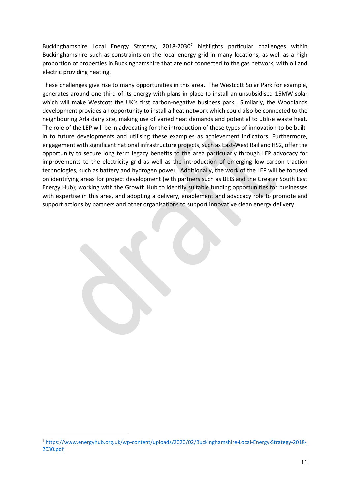Buckinghamshire Local Energy Strategy, 2018-2030<sup>7</sup> highlights particular challenges within Buckinghamshire such as constraints on the local energy grid in many locations, as well as a high proportion of properties in Buckinghamshire that are not connected to the gas network, with oil and electric providing heating.

These challenges give rise to many opportunities in this area. The Westcott Solar Park for example, generates around one third of its energy with plans in place to install an unsubsidised 15MW solar which will make Westcott the UK's first carbon-negative business park. Similarly, the Woodlands development provides an opportunity to install a heat network which could also be connected to the neighbouring Arla dairy site, making use of varied heat demands and potential to utilise waste heat. The role of the LEP will be in advocating for the introduction of these types of innovation to be builtin to future developments and utilising these examples as achievement indicators. Furthermore, engagement with significant national infrastructure projects, such as East-West Rail and HS2, offer the opportunity to secure long term legacy benefits to the area particularly through LEP advocacy for improvements to the electricity grid as well as the introduction of emerging low-carbon traction technologies, such as battery and hydrogen power. Additionally, the work of the LEP will be focused on identifying areas for project development (with partners such as BEIS and the Greater South East Energy Hub); working with the Growth Hub to identify suitable funding opportunities for businesses with expertise in this area, and adopting a delivery, enablement and advocacy role to promote and support actions by partners and other organisations to support innovative clean energy delivery.

<sup>7</sup> [https://www.energyhub.org.uk/wp-content/uploads/2020/02/Buckinghamshire-Local-Energy-Strategy-2018-](https://www.energyhub.org.uk/wp-content/uploads/2020/02/Buckinghamshire-Local-Energy-Strategy-2018-2030.pdf) [2030.pdf](https://www.energyhub.org.uk/wp-content/uploads/2020/02/Buckinghamshire-Local-Energy-Strategy-2018-2030.pdf)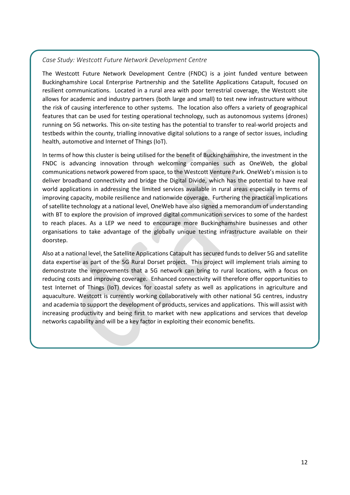#### <span id="page-11-0"></span>*Case Study: Westcott Future Network Development Centre*

The Westcott Future Network Development Centre (FNDC) is a joint funded venture between Buckinghamshire Local Enterprise Partnership and the Satellite Applications Catapult, focused on resilient communications. Located in a rural area with poor terrestrial coverage, the Westcott site allows for academic and industry partners (both large and small) to test new infrastructure without the risk of causing interference to other systems. The location also offers a variety of geographical features that can be used for testing operational technology, such as autonomous systems (drones) running on 5G networks. This on-site testing has the potential to transfer to real-world projects and testbeds within the county, trialling innovative digital solutions to a range of sector issues, including health, automotive and Internet of Things (IoT).

In terms of how this cluster is being utilised for the benefit of Buckinghamshire, the investment in the FNDC is advancing innovation through welcoming companies such as OneWeb, the global communications network powered from space, to the Westcott Venture Park. OneWeb's mission is to deliver broadband connectivity and bridge the Digital Divide, which has the potential to have real world applications in addressing the limited services available in rural areas especially in terms of improving capacity, mobile resilience and nationwide coverage. Furthering the practical implications of satellite technology at a national level, OneWeb have also signed a memorandum of understanding with BT to explore the provision of improved digital communication services to some of the hardest to reach places. As a LEP we need to encourage more Buckinghamshire businesses and other organisations to take advantage of the globally unique testing infrastructure available on their doorstep.

Also at a national level, the Satellite Applications Catapult has secured funds to deliver 5G and satellite data expertise as part of the 5G Rural Dorset project. This project will implement trials aiming to demonstrate the improvements that a 5G network can bring to rural locations, with a focus on reducing costs and improving coverage. Enhanced connectivity will therefore offer opportunities to test Internet of Things (IoT) devices for coastal safety as well as applications in agriculture and aquaculture. Westcott is currently working collaboratively with other national 5G centres, industry and academia to support the development of products, services and applications. This will assist with increasing productivity and being first to market with new applications and services that develop networks capability and will be a key factor in exploiting their economic benefits.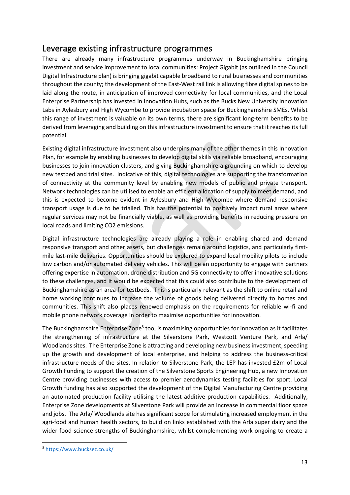### <span id="page-12-0"></span>Leverage existing infrastructure programmes

There are already many infrastructure programmes underway in Buckinghamshire bringing investment and service improvement to local communities: Project Gigabit (as outlined in the Council Digital Infrastructure plan) is bringing gigabit capable broadband to rural businesses and communities throughout the county; the development of the East-West rail link is allowing fibre digital spines to be laid along the route, in anticipation of improved connectivity for local communities, and the Local Enterprise Partnership has invested in Innovation Hubs, such as the Bucks New University Innovation Labs in Aylesbury and High Wycombe to provide incubation space for Buckinghamshire SMEs. Whilst this range of investment is valuable on its own terms, there are significant long-term benefits to be derived from leveraging and building on this infrastructure investment to ensure that it reaches its full potential.

Existing digital infrastructure investment also underpins many of the other themes in this Innovation Plan, for example by enabling businesses to develop digital skills via reliable broadband, encouraging businesses to join innovation clusters, and giving Buckinghamshire a grounding on which to develop new testbed and trial sites. Indicative of this, digital technologies are supporting the transformation of connectivity at the community level by enabling new models of public and private transport. Network technologies can be utilised to enable an efficient allocation of supply to meet demand, and this is expected to become evident in Aylesbury and High Wycombe where demand responsive transport usage is due to be trialled. This has the potential to positively impact rural areas where regular services may not be financially viable, as well as providing benefits in reducing pressure on local roads and limiting CO2 emissions.

Digital infrastructure technologies are already playing a role in enabling shared and demand responsive transport and other assets, but challenges remain around logistics, and particularly firstmile last-mile deliveries. Opportunities should be explored to expand local mobility pilots to include low carbon and/or automated delivery vehicles. This will be an opportunity to engage with partners offering expertise in automation, drone distribution and 5G connectivity to offer innovative solutions to these challenges, and it would be expected that this could also contribute to the development of Buckinghamshire as an area for testbeds. This is particularly relevant as the shift to online retail and home working continues to increase the volume of goods being delivered directly to homes and communities. This shift also places renewed emphasis on the requirements for reliable wi-fi and mobile phone network coverage in order to maximise opportunities for innovation.

The Buckinghamshire Enterprise Zone<sup>8</sup> too, is maximising opportunities for innovation as it facilitates the strengthening of infrastructure at the Silverstone Park, Westcott Venture Park, and Arla/ Woodlands sites. The Enterprise Zone is attracting and developing new business investment, speeding up the growth and development of local enterprise, and helping to address the business-critical infrastructure needs of the sites. In relation to Silverstone Park, the LEP has invested £2m of Local Growth Funding to support the creation of the Silverstone Sports Engineering Hub, a new Innovation Centre providing businesses with access to premier aerodynamics testing facilities for sport. Local Growth funding has also supported the development of the Digital Manufacturing Centre providing an automated production facility utilising the latest additive production capabilities. Additionally, Enterprise Zone developments at Silverstone Park will provide an increase in commercial floor space and jobs. The Arla/ Woodlands site has significant scope for stimulating increased employment in the agri-food and human health sectors, to build on links established with the Arla super dairy and the wider food science strengths of Buckinghamshire, whilst complementing work ongoing to create a

<sup>8</sup> <https://www.bucksez.co.uk/>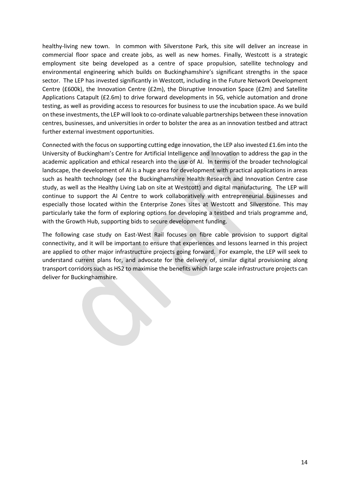healthy-living new town. In common with Silverstone Park, this site will deliver an increase in commercial floor space and create jobs, as well as new homes. Finally, Westcott is a strategic employment site being developed as a centre of space propulsion, satellite technology and environmental engineering which builds on Buckinghamshire's significant strengths in the space sector. The LEP has invested significantly in Westcott, including in the Future Network Development Centre (£600k), the Innovation Centre (£2m), the Disruptive Innovation Space (£2m) and Satellite Applications Catapult (£2.6m) to drive forward developments in 5G, vehicle automation and drone testing, as well as providing access to resources for business to use the incubation space. As we build on these investments, the LEP will look to co-ordinate valuable partnerships between these innovation centres, businesses, and universities in order to bolster the area as an innovation testbed and attract further external investment opportunities.

Connected with the focus on supporting cutting edge innovation, the LEP also invested £1.6m into the University of Buckingham's Centre for Artificial Intelligence and Innovation to address the gap in the academic application and ethical research into the use of AI. In terms of the broader technological landscape, the development of AI is a huge area for development with practical applications in areas such as health technology (see the Buckinghamshire Health Research and Innovation Centre case study, as well as the Healthy Living Lab on site at Westcott) and digital manufacturing. The LEP will continue to support the AI Centre to work collaboratively with entrepreneurial businesses and especially those located within the Enterprise Zones sites at Westcott and Silverstone. This may particularly take the form of exploring options for developing a testbed and trials programme and, with the Growth Hub, supporting bids to secure development funding.

The following case study on East-West Rail focuses on fibre cable provision to support digital connectivity, and it will be important to ensure that experiences and lessons learned in this project are applied to other major infrastructure projects going forward. For example, the LEP will seek to understand current plans for, and advocate for the delivery of, similar digital provisioning along transport corridors such as HS2 to maximise the benefits which large scale infrastructure projects can deliver for Buckinghamshire.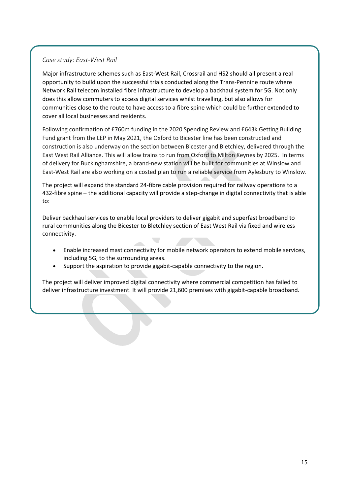#### <span id="page-14-0"></span>*Case study: East-West Rail*

Major infrastructure schemes such as East-West Rail, Crossrail and HS2 should all present a real opportunity to build upon the successful trials conducted along the Trans-Pennine route where Network Rail telecom installed fibre infrastructure to develop a backhaul system for 5G. Not only does this allow commuters to access digital services whilst travelling, but also allows for communities close to the route to have access to a fibre spine which could be further extended to cover all local businesses and residents.

Following confirmation of £760m funding in the 2020 Spending Review and £643k Getting Building Fund grant from the LEP in May 2021, the Oxford to Bicester line has been constructed and construction is also underway on the section between Bicester and Bletchley, delivered through the East West Rail Alliance. This will allow trains to run from Oxford to Milton Keynes by 2025. In terms of delivery for Buckinghamshire, a brand-new station will be built for communities at Winslow and East-West Rail are also working on a costed plan to run a reliable service from Aylesbury to Winslow.

The project will expand the standard 24-fibre cable provision required for railway operations to a 432-fibre spine – the additional capacity will provide a step-change in digital connectivity that is able to:

Deliver backhaul services to enable local providers to deliver gigabit and superfast broadband to rural communities along the Bicester to Bletchley section of East West Rail via fixed and wireless connectivity.

- Enable increased mast connectivity for mobile network operators to extend mobile services, including 5G, to the surrounding areas.
- Support the aspiration to provide gigabit-capable connectivity to the region.

The project will deliver improved digital connectivity where commercial competition has failed to deliver infrastructure investment. It will provide 21,600 premises with gigabit-capable broadband.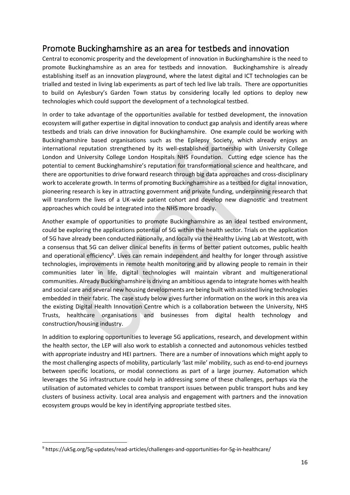### <span id="page-15-0"></span>Promote Buckinghamshire as an area for testbeds and innovation

Central to economic prosperity and the development of innovation in Buckinghamshire is the need to promote Buckinghamshire as an area for testbeds and innovation. Buckinghamshire is already establishing itself as an innovation playground, where the latest digital and ICT technologies can be trialled and tested in living lab experiments as part of tech led live lab trails. There are opportunities to build on Aylesbury's Garden Town status by considering locally led options to deploy new technologies which could support the development of a technological testbed.

In order to take advantage of the opportunities available for testbed development, the innovation ecosystem will gather expertise in digital innovation to conduct gap analysis and identify areas where testbeds and trials can drive innovation for Buckinghamshire. One example could be working with Buckinghamshire based organisations such as the Epilepsy Society, which already enjoys an international reputation strengthened by its well-established partnership with University College London and University College London Hospitals NHS Foundation. Cutting edge science has the potential to cement Buckinghamshire's reputation for transformational science and healthcare, and there are opportunities to drive forward research through big data approaches and cross-disciplinary work to accelerate growth. In terms of promoting Buckinghamshire as a testbed for digital innovation, pioneering research is key in attracting government and private funding, underpinning research that will transform the lives of a UK-wide patient cohort and develop new diagnostic and treatment approaches which could be integrated into the NHS more broadly.

Another example of opportunities to promote Buckinghamshire as an ideal testbed environment, could be exploring the applications potential of 5G within the health sector. Trials on the application of 5G have already been conducted nationally, and locally via the Healthy Living Lab at Westcott, with a consensus that 5G can deliver clinical benefits in terms of better patient outcomes, public health and operational efficiency<sup>9</sup>. Lives can remain independent and healthy for longer through assistive technologies, improvements in remote health monitoring and by allowing people to remain in their communities later in life, digital technologies will maintain vibrant and multigenerational communities. Already Buckinghamshire is driving an ambitious agenda to integrate homes with health and social care and several new housing developments are being built with assisted living technologies embedded in their fabric. The case study below gives further information on the work in this area via the existing Digital Health Innovation Centre which is a collaboration between the University, NHS Trusts, healthcare organisations and businesses from digital health technology and construction/housing industry.

In addition to exploring opportunities to leverage 5G applications, research, and development within the health sector, the LEP will also work to establish a connected and autonomous vehicles testbed with appropriate industry and HEI partners. There are a number of innovations which might apply to the most challenging aspects of mobility, particularly 'last mile' mobility, such as end-to-end journeys between specific locations, or modal connections as part of a large journey. Automation which leverages the 5G infrastructure could help in addressing some of these challenges, perhaps via the utilisation of automated vehicles to combat transport issues between public transport hubs and key clusters of business activity. Local area analysis and engagement with partners and the innovation ecosystem groups would be key in identifying appropriate testbed sites.

<sup>9</sup> https://uk5g.org/5g-updates/read-articles/challenges-and-opportunities-for-5g-in-healthcare/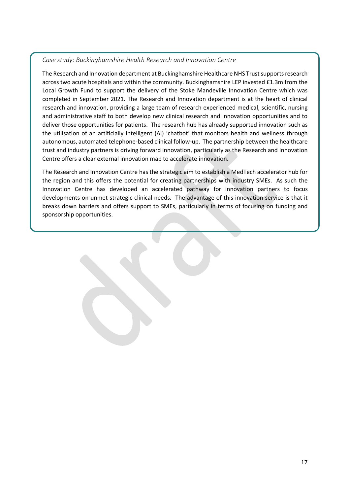#### <span id="page-16-0"></span>*Case study: Buckinghamshire Health Research and Innovation Centre*

The Research and Innovation department at Buckinghamshire Healthcare NHS Trust supports research across two acute hospitals and within the community. Buckinghamshire LEP invested £1.3m from the Local Growth Fund to support the delivery of the Stoke Mandeville Innovation Centre which was completed in September 2021. The Research and Innovation department is at the heart of clinical research and innovation, providing a large team of research experienced medical, scientific, nursing and administrative staff to both develop new clinical research and innovation opportunities and to deliver those opportunities for patients. The research hub has already supported innovation such as the utilisation of an artificially intelligent (AI) 'chatbot' that monitors health and wellness through autonomous, automated telephone-based clinical follow-up. The partnership between the healthcare trust and industry partners is driving forward innovation, particularly as the Research and Innovation Centre offers a clear external innovation map to accelerate innovation.

The Research and Innovation Centre has the strategic aim to establish a MedTech accelerator hub for the region and this offers the potential for creating partnerships with industry SMEs. As such the Innovation Centre has developed an accelerated pathway for innovation partners to focus developments on unmet strategic clinical needs. The advantage of this innovation service is that it breaks down barriers and offers support to SMEs, particularly in terms of focusing on funding and sponsorship opportunities.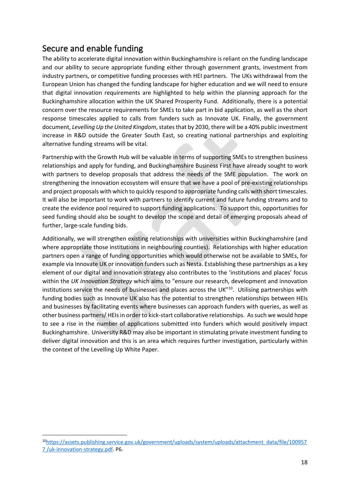### <span id="page-17-0"></span>Secure and enable funding

The ability to accelerate digital innovation within Buckinghamshire is reliant on the funding landscape and our ability to secure appropriate funding either through government grants, investment from industry partners, or competitive funding processes with HEI partners. The UKs withdrawal from the European Union has changed the funding landscape for higher education and we will need to ensure that digital innovation requirements are highlighted to help within the planning approach for the Buckinghamshire allocation within the UK Shared Prosperity Fund. Additionally, there is a potential concern over the resource requirements for SMEs to take part in bid application, as well as the short response timescales applied to calls from funders such as Innovate UK. Finally, the government document, *Levelling Up the United Kingdom*, states that by 2030, there will be a 40% public investment increase in R&D outside the Greater South East, so creating national partnerships and exploiting alternative funding streams will be vital.

Partnership with the Growth Hub will be valuable in terms of supporting SMEs to strengthen business relationships and apply for funding, and Buckinghamshire Business First have already sought to work with partners to develop proposals that address the needs of the SME population. The work on strengthening the innovation ecosystem will ensure that we have a pool of pre-existing relationships and project proposals with which to quickly respond to appropriate funding calls with short timescales. It will also be important to work with partners to identify current and future funding streams and to create the evidence pool required to support funding applications. To support this, opportunities for seed funding should also be sought to develop the scope and detail of emerging proposals ahead of further, large-scale funding bids.

Additionally, we will strengthen existing relationships with universities within Buckinghamshire (and where appropriate those institutions in neighbouring counties). Relationships with higher education partners open a range of funding opportunities which would otherwise not be available to SMEs, for example via Innovate UK or innovation funders such as Nesta. Establishing these partnerships as a key element of our digital and innovation strategy also contributes to the 'institutions and places' focus within the *UK Innovation Strategy* which aims to "ensure our research, development and innovation institutions service the needs of businesses and places across the UK"<sup>10</sup>. Utilising partnerships with funding bodies such as Innovate UK also has the potential to strengthen relationships between HEIs and businesses by facilitating events where businesses can approach funders with queries, as well as other business partners/ HEIs in order to kick-start collaborative relationships. As such we would hope to see a rise in the number of applications submitted into funders which would positively impact Buckinghamshire. University R&D may also be important in stimulating private investment funding to deliver digital innovation and this is an area which requires further investigation, particularly within the context of the Levelling Up White Paper.

<sup>10</sup>[https://assets.publishing.service.gov.uk/government/uploads/system/uploads/attachment\\_data/file/100957](https://assets.publishing.service.gov.uk/government/uploads/system/uploads/attachment_data/file/1009577%20/uk-innovation-strategy.pdf) [7 /uk-innovation-strategy.pdf.](https://assets.publishing.service.gov.uk/government/uploads/system/uploads/attachment_data/file/1009577%20/uk-innovation-strategy.pdf) P6.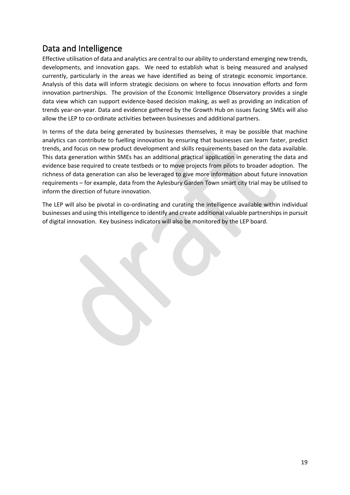### <span id="page-18-0"></span>Data and Intelligence

Effective utilisation of data and analytics are central to our ability to understand emerging new trends, developments, and innovation gaps. We need to establish what is being measured and analysed currently, particularly in the areas we have identified as being of strategic economic importance. Analysis of this data will inform strategic decisions on where to focus innovation efforts and form innovation partnerships. The provision of the Economic Intelligence Observatory provides a single data view which can support evidence-based decision making, as well as providing an indication of trends year-on-year. Data and evidence gathered by the Growth Hub on issues facing SMEs will also allow the LEP to co-ordinate activities between businesses and additional partners.

In terms of the data being generated by businesses themselves, it may be possible that machine analytics can contribute to fuelling innovation by ensuring that businesses can learn faster, predict trends, and focus on new product development and skills requirements based on the data available. This data generation within SMEs has an additional practical application in generating the data and evidence base required to create testbeds or to move projects from pilots to broader adoption. The richness of data generation can also be leveraged to give more information about future innovation requirements – for example, data from the Aylesbury Garden Town smart city trial may be utilised to inform the direction of future innovation.

The LEP will also be pivotal in co-ordinating and curating the intelligence available within individual businesses and using this intelligence to identify and create additional valuable partnerships in pursuit of digital innovation. Key business indicators will also be monitored by the LEP board.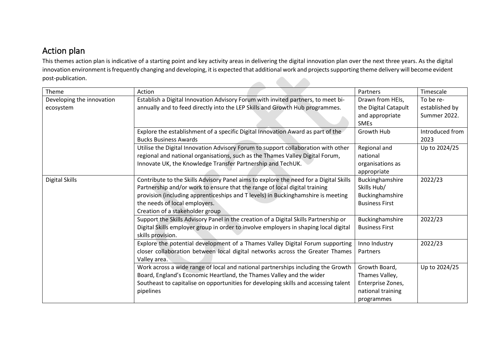### Action plan

This themes action plan is indicative of a starting point and key activity areas in delivering the digital innovation plan over the next three years. As the digital innovation environment is frequently changing and developing, it is expected that additional work and projects supporting theme delivery will become evident post-publication. 

<span id="page-19-0"></span>

| Theme                                  | Action                                                                                                                                                                                                                                                                                                                      | Partners                                                                                | Timescale                                   |
|----------------------------------------|-----------------------------------------------------------------------------------------------------------------------------------------------------------------------------------------------------------------------------------------------------------------------------------------------------------------------------|-----------------------------------------------------------------------------------------|---------------------------------------------|
| Developing the innovation<br>ecosystem | Establish a Digital Innovation Advisory Forum with invited partners, to meet bi-<br>annually and to feed directly into the LEP Skills and Growth Hub programmes.                                                                                                                                                            | Drawn from HEIs,<br>the Digital Catapult<br>and appropriate<br><b>SMEs</b>              | To be re-<br>established by<br>Summer 2022. |
|                                        | Explore the establishment of a specific Digital Innovation Award as part of the<br><b>Bucks Business Awards</b>                                                                                                                                                                                                             | Growth Hub                                                                              | Introduced from<br>2023                     |
|                                        | Utilise the Digital Innovation Advisory Forum to support collaboration with other<br>regional and national organisations, such as the Thames Valley Digital Forum,<br>Innovate UK, the Knowledge Transfer Partnership and TechUK.                                                                                           | Regional and<br>national<br>organisations as<br>appropriate                             | Up to 2024/25                               |
| Digital Skills                         | Contribute to the Skills Advisory Panel aims to explore the need for a Digital Skills<br>Partnership and/or work to ensure that the range of local digital training<br>provision (including apprenticeships and T levels) in Buckinghamshire is meeting<br>the needs of local employers.<br>Creation of a stakeholder group | Buckinghamshire<br>Skills Hub/<br>Buckinghamshire<br><b>Business First</b>              | 2022/23                                     |
|                                        | Support the Skills Advisory Panel in the creation of a Digital Skills Partnership or<br>Digital Skills employer group in order to involve employers in shaping local digital<br>skills provision.                                                                                                                           | Buckinghamshire<br><b>Business First</b>                                                | 2022/23                                     |
|                                        | Explore the potential development of a Thames Valley Digital Forum supporting<br>closer collaboration between local digital networks across the Greater Thames<br>Valley area.                                                                                                                                              | Inno Industry<br>Partners                                                               | 2022/23                                     |
|                                        | Work across a wide range of local and national partnerships including the Growth<br>Board, England's Economic Heartland, the Thames Valley and the wider<br>Southeast to capitalise on opportunities for developing skills and accessing talent<br>pipelines                                                                | Growth Board,<br>Thames Valley,<br>Enterprise Zones,<br>national training<br>programmes | Up to 2024/25                               |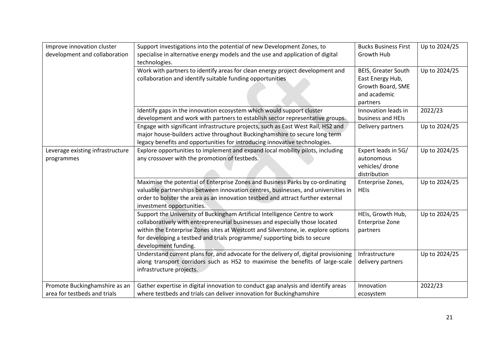| Improve innovation cluster<br>development and collaboration   | Support investigations into the potential of new Development Zones, to<br>specialise in alternative energy models and the use and application of digital<br>technologies.                                                                                                                                                                             | <b>Bucks Business First</b><br>Growth Hub                                                       | Up to 2024/25 |
|---------------------------------------------------------------|-------------------------------------------------------------------------------------------------------------------------------------------------------------------------------------------------------------------------------------------------------------------------------------------------------------------------------------------------------|-------------------------------------------------------------------------------------------------|---------------|
|                                                               | Work with partners to identify areas for clean energy project development and<br>collaboration and identify suitable funding opportunities                                                                                                                                                                                                            | <b>BEIS, Greater South</b><br>East Energy Hub,<br>Growth Board, SME<br>and academic<br>partners | Up to 2024/25 |
|                                                               | Identify gaps in the innovation ecosystem which would support cluster<br>development and work with partners to establish sector representative groups.                                                                                                                                                                                                | Innovation leads in<br>business and HEIs                                                        | 2022/23       |
|                                                               | Engage with significant infrastructure projects, such as East West Rail, HS2 and<br>major house-builders active throughout Buckinghamshire to secure long term<br>legacy benefits and opportunities for introducing innovative technologies.                                                                                                          | Delivery partners                                                                               | Up to 2024/25 |
| Leverage existing infrastructure<br>programmes                | Explore opportunities to implement and expand local mobility pilots, including<br>any crossover with the promotion of testbeds.                                                                                                                                                                                                                       | Expert leads in 5G/<br>autonomous<br>vehicles/ drone<br>distribution                            | Up to 2024/25 |
|                                                               | Maximise the potential of Enterprise Zones and Business Parks by co-ordinating<br>valuable partnerships between innovation centres, businesses, and universities in<br>order to bolster the area as an innovation testbed and attract further external<br>investment opportunities.                                                                   | Enterprise Zones,<br><b>HEIs</b>                                                                | Up to 2024/25 |
|                                                               | Support the University of Buckingham Artificial Intelligence Centre to work<br>collaboratively with entrepreneurial businesses and especially those located<br>within the Enterprise Zones sites at Westcott and Silverstone, ie. explore options<br>for developing a testbed and trials programme/ supporting bids to secure<br>development funding. | HEIs, Growth Hub,<br><b>Enterprise Zone</b><br>partners                                         | Up to 2024/25 |
|                                                               | Understand current plans for, and advocate for the delivery of, digital provisioning<br>along transport corridors such as HS2 to maximise the benefits of large-scale<br>infrastructure projects.                                                                                                                                                     | Infrastructure<br>delivery partners                                                             | Up to 2024/25 |
| Promote Buckinghamshire as an<br>area for testbeds and trials | Gather expertise in digital innovation to conduct gap analysis and identify areas<br>where testbeds and trials can deliver innovation for Buckinghamshire                                                                                                                                                                                             | Innovation<br>ecosystem                                                                         | 2022/23       |